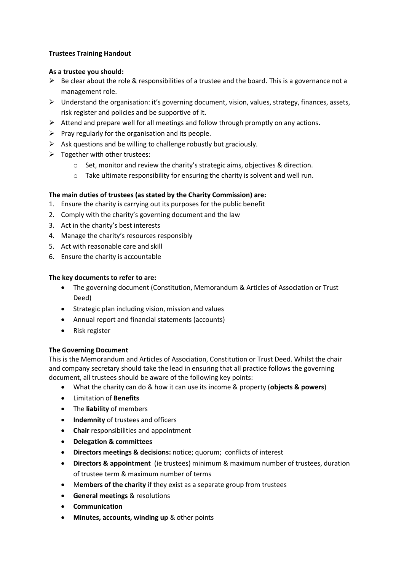# **Trustees Training Handout**

#### **As a trustee you should:**

- $\triangleright$  Be clear about the role & responsibilities of a trustee and the board. This is a governance not a management role.
- $\triangleright$  Understand the organisation: it's governing document, vision, values, strategy, finances, assets, risk register and policies and be supportive of it.
- $\triangleright$  Attend and prepare well for all meetings and follow through promptly on any actions.
- $\triangleright$  Pray regularly for the organisation and its people.
- $\triangleright$  Ask questions and be willing to challenge robustly but graciously.
- $\triangleright$  Together with other trustees:
	- o Set, monitor and review the charity's strategic aims, objectives & direction.
	- $\circ$  Take ultimate responsibility for ensuring the charity is solvent and well run.

# **The main duties of trustees (as stated by the Charity Commission) are:**

- 1. Ensure the charity is carrying out its purposes for the public benefit
- 2. Comply with the charity's governing document and the law
- 3. Act in the charity's best interests
- 4. Manage the charity's resources responsibly
- 5. Act with reasonable care and skill
- 6. Ensure the charity is accountable

#### **The key documents to refer to are:**

- The governing document (Constitution, Memorandum & Articles of Association or Trust Deed)
- Strategic plan including vision, mission and values
- Annual report and financial statements (accounts)
- Risk register

# **The Governing Document**

This is the Memorandum and Articles of Association, Constitution or Trust Deed. Whilst the chair and company secretary should take the lead in ensuring that all practice follows the governing document, all trustees should be aware of the following key points:

- What the charity can do & how it can use its income & property (**objects & powers**)
- Limitation of **Benefits**
- The **liability** of members
- **•** Indemnity of trustees and officers
- **Chair** responsibilities and appointment
- **Delegation & committees**
- **Directors meetings & decisions:** notice; quorum; conflicts of interest
- **Directors & appointment** (ie trustees) minimum & maximum number of trustees, duration of trustee term & maximum number of terms
- M**embers of the charity** if they exist as a separate group from trustees
- **General meetings** & resolutions
- **Communication**
- **Minutes, accounts, winding up** & other points